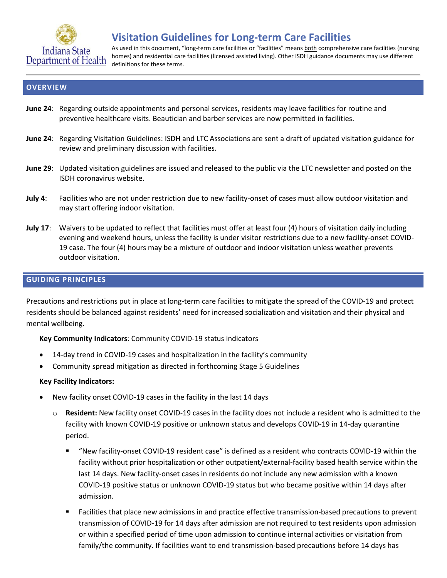

# **Visitation Guidelines for Long-term Care Facilities**

As used in this document, "long-term care facilities or "facilities" means both comprehensive care facilities (nursing homes) and residential care facilities (licensed assisted living). Other ISDH guidance documents may use different definitions for these terms.

### **OVERVIEW**

- **June 24**: Regarding outside appointments and personal services, residents may leave facilities for routine and preventive healthcare visits. Beautician and barber services are now permitted in facilities.
- **June 24**: Regarding Visitation Guidelines: ISDH and LTC Associations are sent a draft of updated visitation guidance for review and preliminary discussion with facilities.
- **June 29**: Updated visitation guidelines are issued and released to the public via the LTC newsletter and posted on the ISDH coronavirus website.
- **July 4**: Facilities who are not under restriction due to new facility-onset of cases must allow outdoor visitation and may start offering indoor visitation.
- **July 17**: Waivers to be updated to reflect that facilities must offer at least four (4) hours of visitation daily including evening and weekend hours, unless the facility is under visitor restrictions due to a new facility-onset COVID-19 case. The four (4) hours may be a mixture of outdoor and indoor visitation unless weather prevents outdoor visitation.

### **GUIDING PRINCIPLES**

Precautions and restrictions put in place at long-term care facilities to mitigate the spread of the COVID-19 and protect residents should be balanced against residents' need for increased socialization and visitation and their physical and mental wellbeing.

**Key Community Indicators**: Community COVID-19 status indicators

- 14-day trend in COVID-19 cases and hospitalization in the facility's community
- Community spread mitigation as directed in forthcoming Stage 5 Guidelines

#### **Key Facility Indicators:**

- New facility onset COVID-19 cases in the facility in the last 14 days
	- Resident: New facility onset COVID-19 cases in the facility does not include a resident who is admitted to the facility with known COVID-19 positive or unknown status and develops COVID-19 in 14-day quarantine period.
		- "New facility-onset COVID-19 resident case" is defined as a resident who contracts COVID-19 within the facility without prior hospitalization or other outpatient/external-facility based health service within the last 14 days. New facility-onset cases in residents do not include any new admission with a known COVID-19 positive status or unknown COVID-19 status but who became positive within 14 days after admission.
		- Facilities that place new admissions in and practice effective transmission-based precautions to prevent transmission of COVID-19 for 14 days after admission are not required to test residents upon admission or within a specified period of time upon admission to continue internal activities or visitation from family/the community. If facilities want to end transmission-based precautions before 14 days has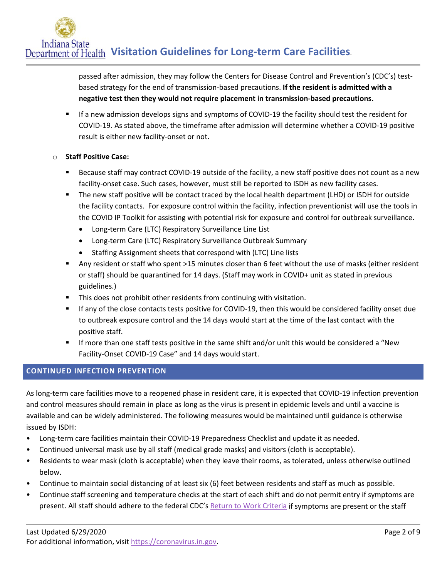passed after admission, they may follow the Centers for Disease Control and Prevention's (CDC's) testbased strategy for the end of transmission-based precautions. **If the resident is admitted with a negative test then they would not require placement in transmission-based precautions.**

 If a new admission develops signs and symptoms of COVID-19 the facility should test the resident for COVID-19. As stated above, the timeframe after admission will determine whether a COVID-19 positive result is either new facility-onset or not.

## o **Staff Positive Case:**

- Because staff may contract COVID-19 outside of the facility, a new staff positive does not count as a new facility-onset case. Such cases, however, must still be reported to ISDH as new facility cases.
- The new staff positive will be contact traced by the local health department (LHD) or ISDH for outside the facility contacts. For exposure control within the facility, infection preventionist will use the tools in the COVID IP Toolkit for assisting with potential risk for exposure and control for outbreak surveillance.
	- Long-term Care (LTC) Respiratory Surveillance Line List
	- Long-term Care (LTC) Respiratory Surveillance Outbreak Summary
	- Staffing Assignment sheets that correspond with (LTC) Line lists
- Any resident or staff who spent >15 minutes closer than 6 feet without the use of masks (either resident or staff) should be quarantined for 14 days. (Staff may work in COVID+ unit as stated in previous guidelines.)
- **This does not prohibit other residents from continuing with visitation.**
- If any of the close contacts tests positive for COVID-19, then this would be considered facility onset due to outbreak exposure control and the 14 days would start at the time of the last contact with the positive staff.
- If more than one staff tests positive in the same shift and/or unit this would be considered a "New Facility-Onset COVID-19 Case" and 14 days would start.

# **CONTINUED INFECTION PREVENTION**

As long-term care facilities move to a reopened phase in resident care, it is expected that COVID-19 infection prevention and control measures should remain in place as long as the virus is present in epidemic levels and until a vaccine is available and can be widely administered. The following measures would be maintained until guidance is otherwise issued by ISDH:

- Long-term care facilities maintain their COVID-19 Preparedness Checklist and update it as needed.
- Continued universal mask use by all staff (medical grade masks) and visitors (cloth is acceptable).
- Residents to wear mask (cloth is acceptable) when they leave their rooms, as tolerated, unless otherwise outlined below.
- Continue to maintain social distancing of at least six (6) feet between residents and staff as much as possible.
- Continue staff screening and temperature checks at the start of each shift and do not permit entry if symptoms are present. All staff should adhere to the federal CDC's [Return to Work Criteria](https://www.cdc.gov/coronavirus/2019-ncov/hcp/return-to-work.html) if symptoms are present or the staff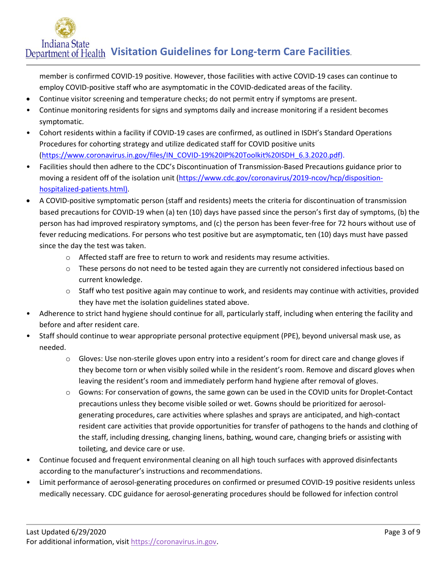member is confirmed COVID-19 positive. However, those facilities with active COVID-19 cases can continue to employ COVID-positive staff who are asymptomatic in the COVID-dedicated areas of the facility.

- Continue visitor screening and temperature checks; do not permit entry if symptoms are present.
- Continue monitoring residents for signs and symptoms daily and increase monitoring if a resident becomes symptomatic.
- Cohort residents within a facility if COVID-19 cases are confirmed, as outlined in ISDH's Standard Operations Procedures for cohorting strategy and utilize dedicated staff for COVID positive units [\(https://www.coronavirus.in.gov/files/IN\\_COVID-19%20IP%20Toolkit%20ISDH\\_6.3.2020.pdf\)](https://www.coronavirus.in.gov/files/IN_COVID-19%20IP%20Toolkit%20ISDH_6.3.2020.pdf).
- Facilities should then adhere to the CDC's Discontinuation of Transmission-Based Precautions guidance prior to moving a resident off of the isolation unit [\(https://www.cdc.gov/coronavirus/2019-ncov/hcp/disposition](https://www.cdc.gov/coronavirus/2019-ncov/hcp/disposition-hospitalized-patients.html)[hospitalized-patients.html\)](https://www.cdc.gov/coronavirus/2019-ncov/hcp/disposition-hospitalized-patients.html).
- A COVID-positive symptomatic person (staff and residents) meets the criteria for discontinuation of transmission based precautions for COVID-19 when (a) ten (10) days have passed since the person's first day of symptoms, (b) the person has had improved respiratory symptoms, and (c) the person has been fever-free for 72 hours without use of fever reducing medications. For persons who test positive but are asymptomatic, ten (10) days must have passed since the day the test was taken.
	- o Affected staff are free to return to work and residents may resume activities.
	- $\circ$  These persons do not need to be tested again they are currently not considered infectious based on current knowledge.
	- $\circ$  Staff who test positive again may continue to work, and residents may continue with activities, provided they have met the isolation guidelines stated above.
- Adherence to strict hand hygiene should continue for all, particularly staff, including when entering the facility and before and after resident care.
- Staff should continue to wear appropriate personal protective equipment (PPE), beyond universal mask use, as needed.
	- $\circ$  Gloves: Use non-sterile gloves upon entry into a resident's room for direct care and change gloves if they become torn or when visibly soiled while in the resident's room. Remove and discard gloves when leaving the resident's room and immediately perform hand hygiene after removal of gloves.
	- o Gowns: For conservation of gowns, the same gown can be used in the COVID units for Droplet-Contact precautions unless they become visible soiled or wet. Gowns should be prioritized for aerosolgenerating procedures, care activities where splashes and sprays are anticipated, and high-contact resident care activities that provide opportunities for transfer of pathogens to the hands and clothing of the staff, including dressing, changing linens, bathing, wound care, changing briefs or assisting with toileting, and device care or use.
- Continue focused and frequent environmental cleaning on all high touch surfaces with approved disinfectants according to the manufacturer's instructions and recommendations.
- Limit performance of aerosol-generating procedures on confirmed or presumed COVID-19 positive residents unless medically necessary. CDC guidance for aerosol-generating procedures should be followed for infection control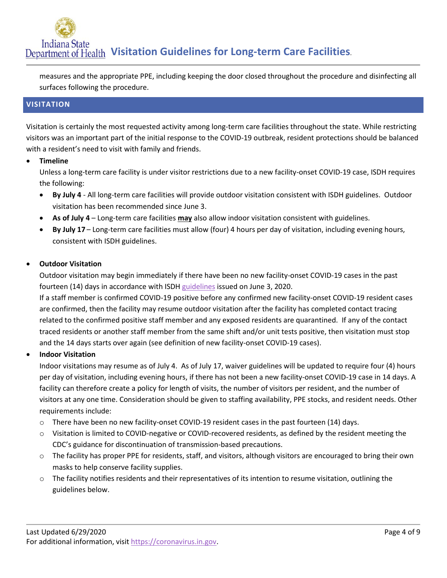measures and the appropriate PPE, including keeping the door closed throughout the procedure and disinfecting all surfaces following the procedure.

### **VISITATION**

Visitation is certainly the most requested activity among long-term care facilities throughout the state. While restricting visitors was an important part of the initial response to the COVID-19 outbreak, resident protections should be balanced with a resident's need to visit with family and friends.

• **Timeline**

Unless a long-term care facility is under visitor restrictions due to a new facility-onset COVID-19 case, ISDH requires the following:

- **By July 4** All long-term care facilities will provide outdoor visitation consistent with ISDH guidelines. Outdoor visitation has been recommended since June 3.
- **As of July 4** Long-term care facilities **may** also allow indoor visitation consistent with guidelines.
- **By July 17** Long-term care facilities must allow (four) 4 hours per day of visitation, including evening hours, consistent with ISDH guidelines.

### • **Outdoor Visitation**

Outdoor visitation may begin immediately if there have been no new facility-onset COVID-19 cases in the past fourteen (14) days in accordance with ISD[H guidelines](https://www.coronavirus.in.gov/files/IN_COVID-19%20outdoor%20visit%206.3.20.pdf) issued on June 3, 2020.

If a staff member is confirmed COVID-19 positive before any confirmed new facility-onset COVID-19 resident cases are confirmed, then the facility may resume outdoor visitation after the facility has completed contact tracing related to the confirmed positive staff member and any exposed residents are quarantined. If any of the contact traced residents or another staff member from the same shift and/or unit tests positive, then visitation must stop and the 14 days starts over again (see definition of new facility-onset COVID-19 cases).

### • **Indoor Visitation**

Indoor visitations may resume as of July 4. As of July 17, waiver guidelines will be updated to require four (4) hours per day of visitation, including evening hours, if there has not been a new facility-onset COVID-19 case in 14 days. A facility can therefore create a policy for length of visits, the number of visitors per resident, and the number of visitors at any one time. Consideration should be given to staffing availability, PPE stocks, and resident needs. Other requirements include:

- o There have been no new facility-onset COVID-19 resident cases in the past fourteen (14) days.
- o Visitation is limited to COVID-negative or COVID-recovered residents, as defined by the resident meeting the CDC's guidance for discontinuation of transmission-based precautions.
- o The facility has proper PPE for residents, staff, and visitors, although visitors are encouraged to bring their own masks to help conserve facility supplies.
- o The facility notifies residents and their representatives of its intention to resume visitation, outlining the guidelines below.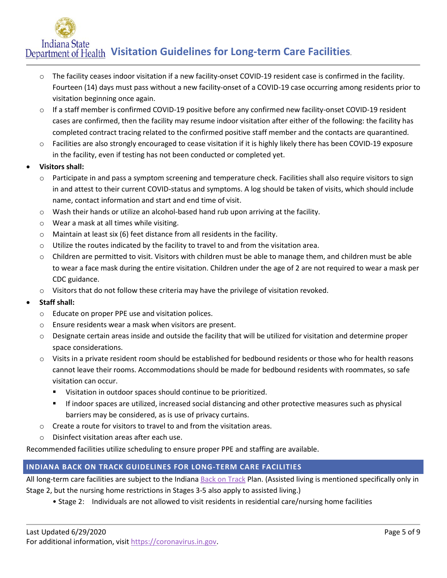- o The facility ceases indoor visitation if a new facility-onset COVID-19 resident case is confirmed in the facility. Fourteen (14) days must pass without a new facility-onset of a COVID-19 case occurring among residents prior to visitation beginning once again.
- o If a staff member is confirmed COVID-19 positive before any confirmed new facility-onset COVID-19 resident cases are confirmed, then the facility may resume indoor visitation after either of the following: the facility has completed contract tracing related to the confirmed positive staff member and the contacts are quarantined.
- o Facilities are also strongly encouraged to cease visitation if it is highly likely there has been COVID-19 exposure in the facility, even if testing has not been conducted or completed yet.
- **Visitors shall:** 
	- o Participate in and pass a symptom screening and temperature check. Facilities shall also require visitors to sign in and attest to their current COVID-status and symptoms. A log should be taken of visits, which should include name, contact information and start and end time of visit.
	- $\circ$  Wash their hands or utilize an alcohol-based hand rub upon arriving at the facility.
	- o Wear a mask at all times while visiting.
	- o Maintain at least six (6) feet distance from all residents in the facility.
	- $\circ$  Utilize the routes indicated by the facility to travel to and from the visitation area.
	- o Children are permitted to visit. Visitors with children must be able to manage them, and children must be able to wear a face mask during the entire visitation. Children under the age of 2 are not required to wear a mask per CDC guidance.
	- $\circ$  Visitors that do not follow these criteria may have the privilege of visitation revoked.
- **Staff shall:** 
	- o Educate on proper PPE use and visitation polices.
	- o Ensure residents wear a mask when visitors are present.
	- $\circ$  Designate certain areas inside and outside the facility that will be utilized for visitation and determine proper space considerations.
	- o Visits in a private resident room should be established for bedbound residents or those who for health reasons cannot leave their rooms. Accommodations should be made for bedbound residents with roommates, so safe visitation can occur.
		- Visitation in outdoor spaces should continue to be prioritized.
		- If indoor spaces are utilized, increased social distancing and other protective measures such as physical barriers may be considered, as is use of privacy curtains.
	- $\circ$  Create a route for visitors to travel to and from the visitation areas.
	- o Disinfect visitation areas after each use.

Recommended facilities utilize scheduling to ensure proper PPE and staffing are available.

# **INDIANA BACK ON TRACK GUIDELINES FOR LONG-TERM CARE FACILITIES**

All long-term care facilities are subject to the Indiana [Back on Track](https://backontrack.in.gov/) Plan. (Assisted living is mentioned specifically only in Stage 2, but the nursing home restrictions in Stages 3-5 also apply to assisted living.)

• Stage 2: Individuals are not allowed to visit residents in residential care/nursing home facilities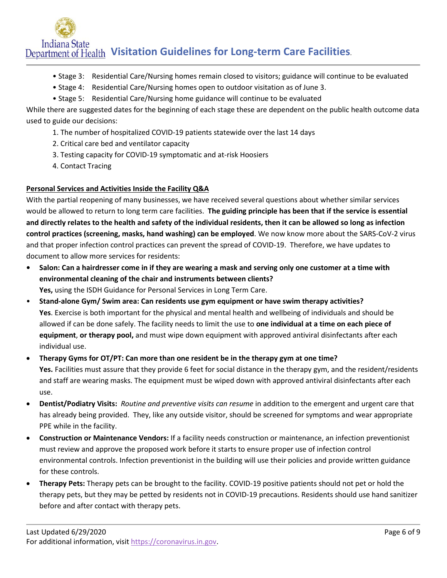- Stage 3: Residential Care/Nursing homes remain closed to visitors; guidance will continue to be evaluated
- Stage 4: Residential Care/Nursing homes open to outdoor visitation as of June 3.
- Stage 5: Residential Care/Nursing home guidance will continue to be evaluated

While there are suggested dates for the beginning of each stage these are dependent on the public health outcome data used to guide our decisions:

- 1. The number of hospitalized COVID-19 patients statewide over the last 14 days
- 2. Critical care bed and ventilator capacity
- 3. Testing capacity for COVID-19 symptomatic and at-risk Hoosiers
- 4. Contact Tracing

### **Personal Services and Activities Inside the Facility Q&A**

With the partial reopening of many businesses, we have received several questions about whether similar services would be allowed to return to long term care facilities. **The guiding principle has been that if the service is essential and directly relates to the health and safety of the individual residents, then it can be allowed so long as infection control practices (screening, masks, hand washing) can be employed**. We now know more about the SARS-CoV-2 virus and that proper infection control practices can prevent the spread of COVID-19. Therefore, we have updates to document to allow more services for residents:

- **Salon: Can a hairdresser come in if they are wearing a mask and serving only one customer at a time with environmental cleaning of the chair and instruments between clients? Yes,** using the ISDH Guidance for Personal Services in Long Term Care.
- **Stand-alone Gym/ Swim area: Can residents use gym equipment or have swim therapy activities? Yes**. Exercise is both important for the physical and mental health and wellbeing of individuals and should be allowed if can be done safely. The facility needs to limit the use to **one individual at a time on each piece of equipment**, **or therapy pool,** and must wipe down equipment with approved antiviral disinfectants after each individual use.

• **Therapy Gyms for OT/PT: Can more than one resident be in the therapy gym at one time? Yes.** Facilities must assure that they provide 6 feet for social distance in the therapy gym, and the resident/residents and staff are wearing masks. The equipment must be wiped down with approved antiviral disinfectants after each use.

- **Dentist/Podiatry Visits:** *Routine and preventive visits can resume* in addition to the emergent and urgent care that has already being provided. They, like any outside visitor, should be screened for symptoms and wear appropriate PPE while in the facility.
- **Construction or Maintenance Vendors:** If a facility needs construction or maintenance, an infection preventionist must review and approve the proposed work before it starts to ensure proper use of infection control environmental controls. Infection preventionist in the building will use their policies and provide written guidance for these controls.
- **Therapy Pets:** Therapy pets can be brought to the facility. COVID-19 positive patients should not pet or hold the therapy pets, but they may be petted by residents not in COVID-19 precautions. Residents should use hand sanitizer before and after contact with therapy pets.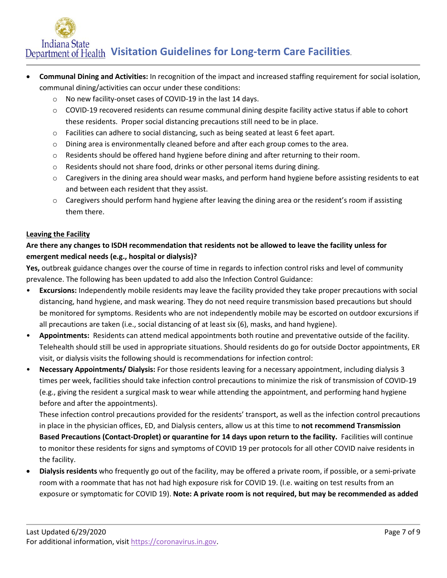- **Communal Dining and Activities:** In recognition of the impact and increased staffing requirement for social isolation, communal dining/activities can occur under these conditions:
	- o No new facility-onset cases of COVID-19 in the last 14 days.
	- o COVID-19 recovered residents can resume communal dining despite facility active status if able to cohort these residents. Proper social distancing precautions still need to be in place.
	- o Facilities can adhere to social distancing, such as being seated at least 6 feet apart.
	- o Dining area is environmentally cleaned before and after each group comes to the area.
	- o Residents should be offered hand hygiene before dining and after returning to their room.
	- $\circ$  Residents should not share food, drinks or other personal items during dining.
	- $\circ$  Caregivers in the dining area should wear masks, and perform hand hygiene before assisting residents to eat and between each resident that they assist.
	- $\circ$  Caregivers should perform hand hygiene after leaving the dining area or the resident's room if assisting them there.

#### **Leaving the Facility**

# **Are there any changes to ISDH recommendation that residents not be allowed to leave the facility unless for emergent medical needs (e.g., hospital or dialysis)?**

**Yes,** outbreak guidance changes over the course of time in regards to infection control risks and level of community prevalence. The following has been updated to add also the Infection Control Guidance:

- **Excursions:** Independently mobile residents may leave the facility provided they take proper precautions with social distancing, hand hygiene, and mask wearing. They do not need require transmission based precautions but should be monitored for symptoms. Residents who are not independently mobile may be escorted on outdoor excursions if all precautions are taken (i.e., social distancing of at least six (6), masks, and hand hygiene).
- **Appointments:** Residents can attend medical appointments both routine and preventative outside of the facility. Telehealth should still be used in appropriate situations. Should residents do go for outside Doctor appointments, ER visit, or dialysis visits the following should is recommendations for infection control:
- **Necessary Appointments/ Dialysis:** For those residents leaving for a necessary appointment, including dialysis 3 times per week, facilities should take infection control precautions to minimize the risk of transmission of COVID-19 (e.g., giving the resident a surgical mask to wear while attending the appointment, and performing hand hygiene before and after the appointments).

These infection control precautions provided for the residents' transport, as well as the infection control precautions in place in the physician offices, ED, and Dialysis centers, allow us at this time to **not recommend Transmission Based Precautions (Contact-Droplet) or quarantine for 14 days upon return to the facility.** Facilities will continue to monitor these residents for signs and symptoms of COVID 19 per protocols for all other COVID naive residents in the facility.

• **Dialysis residents** who frequently go out of the facility, may be offered a private room, if possible, or a semi-private room with a roommate that has not had high exposure risk for COVID 19. (I.e. waiting on test results from an exposure or symptomatic for COVID 19). **Note: A private room is not required, but may be recommended as added**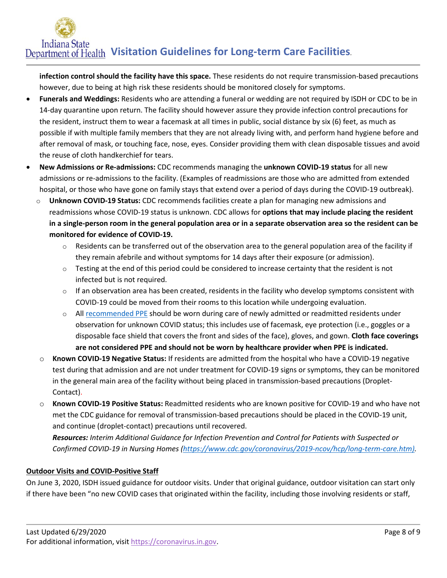**infection control should the facility have this space.** These residents do not require transmission-based precautions however, due to being at high risk these residents should be monitored closely for symptoms.

- **Funerals and Weddings:** Residents who are attending a funeral or wedding are not required by ISDH or CDC to be in 14-day quarantine upon return. The facility should however assure they provide infection control precautions for the resident, instruct them to wear a facemask at all times in public, social distance by six (6) feet, as much as possible if with multiple family members that they are not already living with, and perform hand hygiene before and after removal of mask, or touching face, nose, eyes. Consider providing them with clean disposable tissues and avoid the reuse of cloth handkerchief for tears.
- **New Admissions or Re-admissions:** CDC recommends managing the **unknown COVID-19 status** for all new admissions or re-admissions to the facility. (Examples of readmissions are those who are admitted from extended hospital, or those who have gone on family stays that extend over a period of days during the COVID-19 outbreak).
	- o **Unknown COVID-19 Status:** CDC recommends facilities create a plan for managing new admissions and readmissions whose COVID-19 status is unknown. CDC allows for **options that may include placing the resident in a single-person room in the general population area or in a separate observation area so the resident can be monitored for evidence of COVID-19.**
		- $\circ$  Residents can be transferred out of the observation area to the general population area of the facility if they remain afebrile and without symptoms for 14 days after their exposure (or admission).
		- $\circ$  Testing at the end of this period could be considered to increase certainty that the resident is not infected but is not required.
		- $\circ$  If an observation area has been created, residents in the facility who develop symptoms consistent with COVID-19 could be moved from their rooms to this location while undergoing evaluation.
		- o All [recommended PPE](https://www.cdc.gov/coronavirus/2019-ncov/infection-control/control-recommendations.html) should be worn during care of newly admitted or readmitted residents under observation for unknown COVID status; this includes use of facemask, eye protection (i.e., goggles or a disposable face shield that covers the front and sides of the face), gloves, and gown. **Cloth face coverings are not considered PPE and should not be worn by healthcare provider when PPE is indicated.**
		- o **Known COVID-19 Negative Status:** If residents are admitted from the hospital who have a COVID-19 negative test during that admission and are not under treatment for COVID-19 signs or symptoms, they can be monitored in the general main area of the facility without being placed in transmission-based precautions (Droplet-Contact).
		- o **Known COVID-19 Positive Status:** Readmitted residents who are known positive for COVID-19 and who have not met the CDC guidance for removal of transmission-based precautions should be placed in the COVID-19 unit, and continue (droplet-contact) precautions until recovered.

*Resources: Interim Additional Guidance for Infection Prevention and Control for Patients with Suspected or Confirmed COVID-19 in Nursing Homes [\(https://www.cdc.gov/coronavirus/2019-ncov/hcp/long-term-care.htm\)](https://www.cdc.gov/coronavirus/2019-ncov/hcp/long-term-care.htm).* 

# **Outdoor Visits and COVID-Positive Staff**

On June 3, 2020, ISDH issued guidance for outdoor visits. Under that original guidance, outdoor visitation can start only if there have been "no new COVID cases that originated within the facility, including those involving residents or staff,